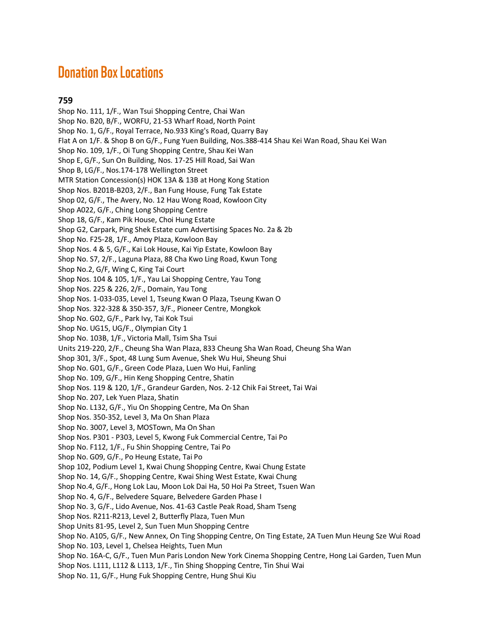# **Donation Box Locations**

## **759**

Shop No. 111, 1/F., Wan Tsui Shopping Centre, Chai Wan Shop No. B20, B/F., WORFU, 21-53 Wharf Road, North Point Shop No. 1, G/F., Royal Terrace, No.933 King's Road, Quarry Bay Flat A on 1/F. & Shop B on G/F., Fung Yuen Building, Nos.388-414 Shau Kei Wan Road, Shau Kei Wan Shop No. 109, 1/F., Oi Tung Shopping Centre, Shau Kei Wan Shop E, G/F., Sun On Building, Nos. 17-25 Hill Road, Sai Wan Shop B, LG/F., Nos.174-178 Wellington Street MTR Station Concession(s) HOK 13A & 13B at Hong Kong Station Shop Nos. B201B-B203, 2/F., Ban Fung House, Fung Tak Estate Shop 02, G/F., The Avery, No. 12 Hau Wong Road, Kowloon City Shop A022, G/F., Ching Long Shopping Centre Shop 18, G/F., Kam Pik House, Choi Hung Estate Shop G2, Carpark, Ping Shek Estate cum Advertising Spaces No. 2a & 2b Shop No. F25-28, 1/F., Amoy Plaza, Kowloon Bay Shop Nos. 4 & 5, G/F., Kai Lok House, Kai Yip Estate, Kowloon Bay Shop No. S7, 2/F., Laguna Plaza, 88 Cha Kwo Ling Road, Kwun Tong Shop No.2, G/F, Wing C, King Tai Court Shop Nos. 104 & 105, 1/F., Yau Lai Shopping Centre, Yau Tong Shop Nos. 225 & 226, 2/F., Domain, Yau Tong Shop Nos. 1-033-035, Level 1, Tseung Kwan O Plaza, Tseung Kwan O Shop Nos. 322-328 & 350-357, 3/F., Pioneer Centre, Mongkok Shop No. G02, G/F., Park Ivy, Tai Kok Tsui Shop No. UG15, UG/F., Olympian City 1 Shop No. 103B, 1/F., Victoria Mall, Tsim Sha Tsui Units 219-220, 2/F., Cheung Sha Wan Plaza, 833 Cheung Sha Wan Road, Cheung Sha Wan Shop 301, 3/F., Spot, 48 Lung Sum Avenue, Shek Wu Hui, Sheung Shui Shop No. G01, G/F., Green Code Plaza, Luen Wo Hui, Fanling Shop No. 109, G/F., Hin Keng Shopping Centre, Shatin Shop Nos. 119 & 120, 1/F., Grandeur Garden, Nos. 2-12 Chik Fai Street, Tai Wai Shop No. 207, Lek Yuen Plaza, Shatin Shop No. L132, G/F., Yiu On Shopping Centre, Ma On Shan Shop Nos. 350-352, Level 3, Ma On Shan Plaza Shop No. 3007, Level 3, MOSTown, Ma On Shan Shop Nos. P301 - P303, Level 5, Kwong Fuk Commercial Centre, Tai Po Shop No. F112, 1/F., Fu Shin Shopping Centre, Tai Po Shop No. G09, G/F., Po Heung Estate, Tai Po Shop 102, Podium Level 1, Kwai Chung Shopping Centre, Kwai Chung Estate Shop No. 14, G/F., Shopping Centre, Kwai Shing West Estate, Kwai Chung Shop No.4, G/F., Hong Lok Lau, Moon Lok Dai Ha, 50 Hoi Pa Street, Tsuen Wan Shop No. 4, G/F., Belvedere Square, Belvedere Garden Phase I Shop No. 3, G/F., Lido Avenue, Nos. 41-63 Castle Peak Road, Sham Tseng Shop Nos. R211-R213, Level 2, Butterfly Plaza, Tuen Mun Shop Units 81-95, Level 2, Sun Tuen Mun Shopping Centre Shop No. A105, G/F., New Annex, On Ting Shopping Centre, On Ting Estate, 2A Tuen Mun Heung Sze Wui Road Shop No. 103, Level 1, Chelsea Heights, Tuen Mun Shop No. 16A-C, G/F., Tuen Mun Paris London New York Cinema Shopping Centre, Hong Lai Garden, Tuen Mun Shop Nos. L111, L112 & L113, 1/F., Tin Shing Shopping Centre, Tin Shui Wai Shop No. 11, G/F., Hung Fuk Shopping Centre, Hung Shui Kiu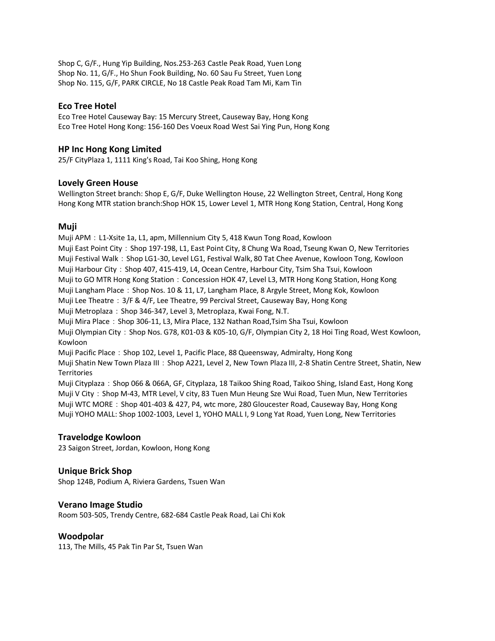Shop C, G/F., Hung Yip Building, Nos.253-263 Castle Peak Road, Yuen Long Shop No. 11, G/F., Ho Shun Fook Building, No. 60 Sau Fu Street, Yuen Long Shop No. 115, G/F, PARK CIRCLE, No 18 Castle Peak Road Tam Mi, Kam Tin

### **Eco Tree Hotel**

Eco Tree Hotel Causeway Bay: 15 Mercury Street, Causeway Bay, Hong Kong Eco Tree Hotel Hong Kong: 156-160 Des Voeux Road West Sai Ying Pun, Hong Kong

## **HP Inc Hong Kong Limited**

25/F CityPlaza 1, 1111 King's Road, Tai Koo Shing, Hong Kong

#### **Lovely Green House**

Wellington Street branch: Shop E, G/F, Duke Wellington House, 22 Wellington Street, Central, Hong Kong Hong Kong MTR station branch:Shop HOK 15, Lower Level 1, MTR Hong Kong Station, Central, Hong Kong

## **Muji**

Muji APM: L1-Xsite 1a, L1, apm, Millennium City 5, 418 Kwun Tong Road, Kowloon Muji East Point City: Shop 197-198, L1, East Point City, 8 Chung Wa Road, Tseung Kwan O, New Territories Muji Festival Walk: Shop LG1-30, Level LG1, Festival Walk, 80 Tat Chee Avenue, Kowloon Tong, Kowloon Muji Harbour City: Shop 407, 415-419, L4, Ocean Centre, Harbour City, Tsim Sha Tsui, Kowloon Muji to GO MTR Hong Kong Station: Concession HOK 47, Level L3, MTR Hong Kong Station, Hong Kong Muji Langham Place: Shop Nos. 10 & 11, L7, Langham Place, 8 Argyle Street, Mong Kok, Kowloon Muji Lee Theatre: 3/F & 4/F, Lee Theatre, 99 Percival Street, Causeway Bay, Hong Kong Muji Metroplaza: Shop 346-347, Level 3, Metroplaza, Kwai Fong, N.T. Muji Mira Place: Shop 306-11, L3, Mira Place, 132 Nathan Road,Tsim Sha Tsui, Kowloon Muji Olympian City: Shop Nos. G78, K01-03 & K05-10, G/F, Olympian City 2, 18 Hoi Ting Road, West Kowloon, Kowloon Muji Pacific Place: Shop 102, Level 1, Pacific Place, 88 Queensway, Admiralty, Hong Kong Muji Shatin New Town Plaza III:Shop A221, Level 2, New Town Plaza III, 2-8 Shatin Centre Street, Shatin, New **Territories** Muji Cityplaza: Shop 066 & 066A, GF, Cityplaza, 18 Taikoo Shing Road, Taikoo Shing, Island East, Hong Kong Muji V City: Shop M-43, MTR Level, V city, 83 Tuen Mun Heung Sze Wui Road, Tuen Mun, New Territories Muji WTC MORE: Shop 401-403 & 427, P4, wtc more, 280 Gloucester Road, Causeway Bay, Hong Kong Muji YOHO MALL: Shop 1002-1003, Level 1, YOHO MALL I, 9 Long Yat Road, Yuen Long, New Territories

#### **Travelodge Kowloon**

23 Saigon Street, Jordan, Kowloon, Hong Kong

#### **Unique Brick Shop**

Shop 124B, Podium A, Riviera Gardens, Tsuen Wan

#### **Verano Image Studio**

Room 503-505, Trendy Centre, 682-684 Castle Peak Road, Lai Chi Kok

#### **Woodpolar**

113, The Mills, 45 Pak Tin Par St, Tsuen Wan